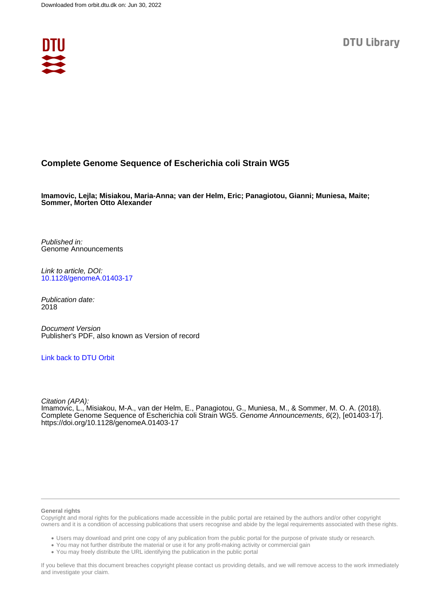

# **Complete Genome Sequence of Escherichia coli Strain WG5**

**Imamovic, Lejla; Misiakou, Maria-Anna; van der Helm, Eric; Panagiotou, Gianni; Muniesa, Maite; Sommer, Morten Otto Alexander**

Published in: Genome Announcements

Link to article, DOI: [10.1128/genomeA.01403-17](https://doi.org/10.1128/genomeA.01403-17)

Publication date: 2018

Document Version Publisher's PDF, also known as Version of record

## [Link back to DTU Orbit](https://orbit.dtu.dk/en/publications/8fa26e2f-f721-4718-9767-8fbf7047d696)

Citation (APA):

Imamovic, L., Misiakou, M-A., van der Helm, E., Panagiotou, G., Muniesa, M., & Sommer, M. O. A. (2018). Complete Genome Sequence of Escherichia coli Strain WG5. Genome Announcements, 6(2), [e01403-17]. <https://doi.org/10.1128/genomeA.01403-17>

#### **General rights**

Copyright and moral rights for the publications made accessible in the public portal are retained by the authors and/or other copyright owners and it is a condition of accessing publications that users recognise and abide by the legal requirements associated with these rights.

Users may download and print one copy of any publication from the public portal for the purpose of private study or research.

- You may not further distribute the material or use it for any profit-making activity or commercial gain
- You may freely distribute the URL identifying the publication in the public portal

If you believe that this document breaches copyright please contact us providing details, and we will remove access to the work immediately and investigate your claim.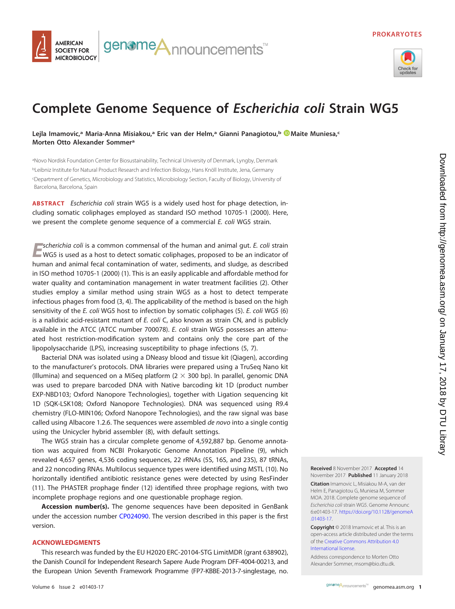

### genome**A**nnouncements<sup>™</sup> **AMERICAN SOCIETY FOR MICROBIOLOGY**

# **Complete Genome Sequence of Escherichia coli Strain WG5**

**Lejla Imamovic,a Maria-Anna Misiakou,a Eric van der Helm,a Gianni Panagiotou,b [Maite Muniesa,](http://orcid.org/0000-0001-5549-1394)c Morten Otto Alexander Sommera**

a Novo Nordisk Foundation Center for Biosustainability, Technical University of Denmark, Lyngby, Denmark <sup>b</sup>Leibniz Institute for Natural Product Research and Infection Biology, Hans Knöll Institute, Jena, Germany c Department of Genetics, Microbiology and Statistics, Microbiology Section, Faculty of Biology, University of Barcelona, Barcelona, Spain

**ABSTRACT** Escherichia coli strain WG5 is a widely used host for phage detection, including somatic coliphages employed as standard ISO method 10705-1 (2000). Here, we present the complete genome sequence of a commercial E. coli WG5 strain.

*E*scherichia coli is a common commensal of the human and animal gut. E. coli strain WG5 is used as a host to detect somatic coliphages, proposed to be an indicator of human and animal fecal contamination of water, sediments, and sludge, as described in ISO method 10705-1 (2000) [\(1\)](#page-2-0). This is an easily applicable and affordable method for water quality and contamination management in water treatment facilities [\(2\)](#page-2-1). Other studies employ a similar method using strain WG5 as a host to detect temperate infectious phages from food [\(3,](#page-2-2) [4\)](#page-2-3). The applicability of the method is based on the high sensitivity of the E. coli WG5 host to infection by somatic coliphages [\(5\)](#page-2-4). E. coli WG5 [\(6\)](#page-2-5) is a nalidixic acid-resistant mutant of E. coli C, also known as strain CN, and is publicly available in the ATCC (ATCC number 700078). E. coli strain WG5 possesses an attenuated host restriction-modification system and contains only the core part of the lipopolysaccharide (LPS), increasing susceptibility to phage infections [\(5,](#page-2-4) [7\)](#page-2-6).

Bacterial DNA was isolated using a DNeasy blood and tissue kit (Qiagen), according to the manufacturer's protocols. DNA libraries were prepared using a TruSeq Nano kit (Illumina) and sequenced on a MiSeq platform  $(2 \times 300$  bp). In parallel, genomic DNA was used to prepare barcoded DNA with Native barcoding kit 1D (product number EXP-NBD103; Oxford Nanopore Technologies), together with Ligation sequencing kit 1D (SQK-LSK108; Oxford Nanopore Technologies). DNA was sequenced using R9.4 chemistry (FLO-MIN106; Oxford Nanopore Technologies), and the raw signal was base called using Albacore 1.2.6. The sequences were assembled de novo into a single contig using the Unicycler hybrid assembler [\(8\)](#page-2-7), with default settings.

The WG5 strain has a circular complete genome of 4,592,887 bp. Genome annotation was acquired from NCBI Prokaryotic Genome Annotation Pipeline [\(9\)](#page-2-8), which revealed 4,657 genes, 4,536 coding sequences, 22 rRNAs (5S, 16S, and 23S), 87 tRNAs, and 22 noncoding RNAs. Multilocus sequence types were identified using MSTL [\(10\)](#page-2-9). No horizontally identified antibiotic resistance genes were detected by using ResFinder [\(11\)](#page-2-10). The PHASTER prophage finder [\(12\)](#page-2-11) identified three prophage regions, with two incomplete prophage regions and one questionable prophage region.

**Accession number(s).** The genome sequences have been deposited in GenBank under the accession number [CP024090.](http://www.ncbi.nlm.nih.gov/nuccore/CP024090) The version described in this paper is the first version.

### **ACKNOWLEDGMENTS**

This research was funded by the EU H2020 ERC-20104-STG LimitMDR (grant 638902), the Danish Council for Independent Research Sapere Aude Program DFF-4004-00213, and the European Union Seventh Framework Programme (FP7-KBBE-2013-7-singlestage, no.

**Received** 8 November 2017 **Accepted** 14 November 2017 **Published** 11 January 2018

**Citation** Imamovic L, Misiakou M-A, van der Helm E, Panagiotou G, Muniesa M, Sommer MOA. 2018. Complete genome sequence of Escherichia coli strain WG5. Genome Announc 6:e01403-17. [https://doi.org/10.1128/genomeA](https://doi.org/10.1128/genomeA.01403-17) [.01403-17.](https://doi.org/10.1128/genomeA.01403-17)

**Copyright** © 2018 Imamovic et al. This is an open-access article distributed under the terms of the [Creative Commons Attribution 4.0](https://creativecommons.org/licenses/by/4.0/) [International](https://creativecommons.org/licenses/by/4.0/) license.

Address correspondence to Morten Otto Alexander Sommer, [msom@bio.dtu.dk.](mailto:msom@bio.dtu.dk)